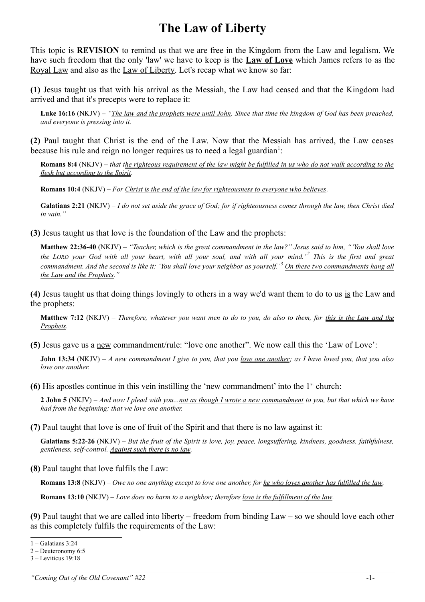# **The Law of Liberty**

This topic is **REVISION** to remind us that we are free in the Kingdom from the Law and legalism. We have such freedom that the only 'law' we have to keep is the **Law of Love** which James refers to as the Royal Law and also as the Law of Liberty. Let's recap what we know so far:

**(1)** Jesus taught us that with his arrival as the Messiah, the Law had ceased and that the Kingdom had arrived and that it's precepts were to replace it:

**Luke 16:16** (NKJV) – *"The law and the prophets were until John. Since that time the kingdom of God has been preached, and everyone is pressing into it.*

**(2)** Paul taught that Christ is the end of the Law. Now that the Messiah has arrived, the Law ceases because his rule and reign no longer requires us to need a legal guardian<sup>[1](#page-0-0)</sup>:

**Romans 8:4** (NKJV) – *that the righteous requirement of the law might be fulfilled in us who do not walk according to the flesh but according to the Spirit.* 

**Romans 10:4** (NKJV) – *For Christ is the end of the law for righteousness to everyone who believes.*

**Galatians 2:21** (NKJV) – *I do not set aside the grace of God; for if righteousness comes through the law, then Christ died in vain."*

**(3)** Jesus taught us that love is the foundation of the Law and the prophets:

**Matthew 22:36-40** (NKJV) – *"Teacher, which is the great commandment in the law?" Jesus said to him, "'You shall love the LORD your God with all your heart, with all your soul, and with all your mind.' [2](#page-0-1) This is the first and great commandment. And the second is like it: 'You shall love your neighbor as yourself.'[3](#page-0-2) On these two commandments hang all the Law and the Prophets."*

**(4)** Jesus taught us that doing things lovingly to others in a way we'd want them to do to us is the Law and the prophets:

**Matthew 7:12** (NKJV) – *Therefore, whatever you want men to do to you, do also to them, for this is the Law and the Prophets.*

**(5)** Jesus gave us a new commandment/rule: "love one another". We now call this the 'Law of Love':

**John 13:34** (NKJV) – *A new commandment I give to you, that you love one another; as I have loved you, that you also love one another.*

**(6)** His apostles continue in this vein instilling the 'new commandment' into the 1st church:

**2 John 5** (NKJV) – *And now I plead with you...not as though I wrote a new commandment to you, but that which we have had from the beginning: that we love one another.*

**(7)** Paul taught that love is one of fruit of the Spirit and that there is no law against it:

**Galatians 5:22-26** (NKJV) – *But the fruit of the Spirit is love, joy, peace, longsuffering, kindness, goodness, faithfulness, gentleness, self-control. Against such there is no law.*

**(8)** Paul taught that love fulfils the Law:

**Romans 13:8** (NKJV) – *Owe no one anything except to love one another, for he who loves another has fulfilled the law.* 

**Romans 13:10** (NKJV) – *Love does no harm to a neighbor; therefore love is the fulfillment of the law.*

**(9)** Paul taught that we are called into liberty – freedom from binding Law – so we should love each other as this completely fulfils the requirements of the Law:

<span id="page-0-0"></span><sup>1 –</sup> Galatians 3:24

<span id="page-0-1"></span><sup>2 –</sup> Deuteronomy 6:5

<span id="page-0-2"></span> $3 -$ Leviticus 19:18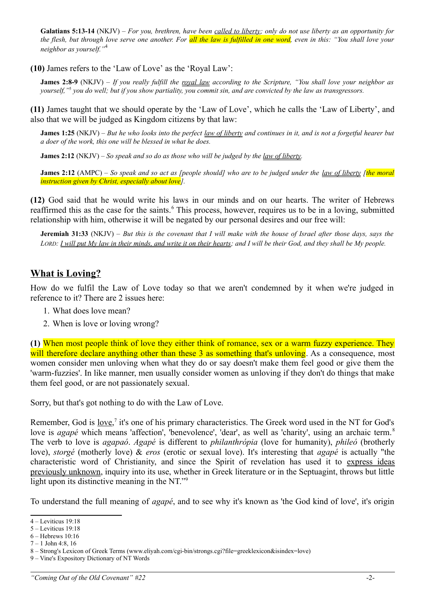**Galatians 5:13-14** (NKJV) – *For you, brethren, have been called to liberty; only do not use liberty as an opportunity for the flesh, but through love serve one another. For all the law is fulfilled in one word, even in this: "You shall love your neighbor as yourself."*[4](#page-1-0)

**(10)** James refers to the 'Law of Love' as the 'Royal Law':

**James 2:8-9** (NKJV) – *If you really fulfill the royal law according to the Scripture, "You shall love your neighbor as yourself,"*[5](#page-1-1) *you do well; but if you show partiality, you commit sin, and are convicted by the law as transgressors.*

**(11)** James taught that we should operate by the 'Law of Love', which he calls the 'Law of Liberty', and also that we will be judged as Kingdom citizens by that law:

**James 1:25** (NKJV) – *But he who looks into the perfect law of liberty and continues in it, and is not a forgetful hearer but a doer of the work, this one will be blessed in what he does.*

**James 2:12** (NKJV) – *So speak and so do as those who will be judged by the law of liberty.*

**James 2:12** (AMPC) – *So speak and so act as [people should] who are to be judged under the law of liberty [the moral instruction given by Christ, especially about love].*

**(12)** God said that he would write his laws in our minds and on our hearts. The writer of Hebrews reaffirmed this as the case for the saints.<sup>[6](#page-1-2)</sup> This process, however, requires us to be in a loving, submitted relationship with him, otherwise it will be negated by our personal desires and our free will:

**Jeremiah 31:33** (NKJV) – *But this is the covenant that I will make with the house of Israel after those days, says the LORD: I will put My law in their minds, and write it on their hearts; and I will be their God, and they shall be My people.*

#### **What is Loving?**

How do we fulfil the Law of Love today so that we aren't condemned by it when we're judged in reference to it? There are 2 issues here:

- 1. What does love mean?
- 2. When is love or loving wrong?

**(1)** When most people think of love they either think of romance, sex or a warm fuzzy experience. They will therefore declare anything other than these 3 as something that's unloving. As a consequence, most women consider men unloving when what they do or say doesn't make them feel good or give them the 'warm-fuzzies'. In like manner, men usually consider women as unloving if they don't do things that make them feel good, or are not passionately sexual.

Sorry, but that's got nothing to do with the Law of Love.

Remember, God is love,<sup>[7](#page-1-3)</sup> it's one of his primary characteristics. The Greek word used in the NT for God's love is *agapé* which means 'affection', 'benevolence', 'dear', as well as 'charity', using an archaic term.<sup>[8](#page-1-4)</sup> The verb to love is *agapaó*. *Agapé* is different to *philanthrópia* (love for humanity), *phileó* (brotherly love), *storgé* (motherly love) & *eros* (erotic or sexual love). It's interesting that *agapé* is actually "the characteristic word of Christianity, and since the Spirit of revelation has used it to express ideas previously unknown, inquiry into its use, whether in Greek literature or in the Septuagint, throws but little light upon its distinctive meaning in the NT."[9](#page-1-5)

To understand the full meaning of *agapé*, and to see why it's known as 'the God kind of love', it's origin

<span id="page-1-2"></span>6 – Hebrews 10:16

<span id="page-1-0"></span><sup>4 –</sup> Leviticus 19:18

<span id="page-1-1"></span><sup>5 –</sup> Leviticus 19:18

<span id="page-1-3"></span><sup>7 – 1</sup> John 4:8, 16

<span id="page-1-4"></span><sup>8 –</sup> Strong's Lexicon of Greek Terms (www.eliyah.com/cgi-bin/strongs.cgi?file=greeklexicon&isindex=love)

<span id="page-1-5"></span><sup>9 –</sup> Vine's Expository Dictionary of NT Words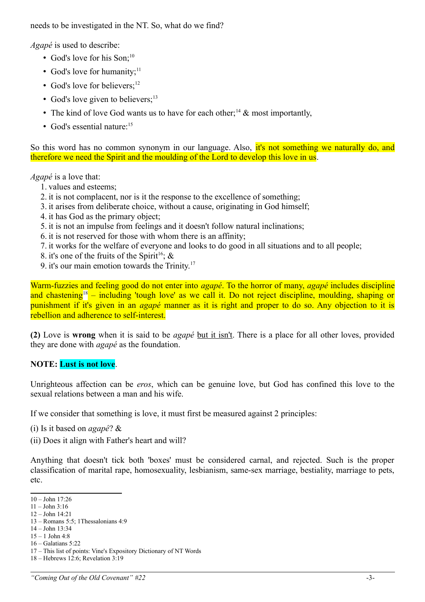needs to be investigated in the NT. So, what do we find?

*Agapé* is used to describe:

- God's love for his Son; $^{10}$  $^{10}$  $^{10}$
- God's love for humanity; $<sup>11</sup>$  $<sup>11</sup>$  $<sup>11</sup>$ </sup>
- God's love for believers: $12$
- God's love given to believers: $13$
- The kind of love God wants us to have for each other;<sup>[14](#page-2-4)</sup>  $\&$  most importantly,
- God's essential nature:<sup>[15](#page-2-5)</sup>

So this word has no common synonym in our language. Also, it's not something we naturally do, and therefore we need the Spirit and the moulding of the Lord to develop this love in us.

*Agapé* is a love that:

- 1. values and esteems;
- 2. it is not complacent, nor is it the response to the excellence of something;
- 3. it arises from deliberate choice, without a cause, originating in God himself;
- 4. it has God as the primary object;
- 5. it is not an impulse from feelings and it doesn't follow natural inclinations;
- 6. it is not reserved for those with whom there is an affinity;
- 7. it works for the welfare of everyone and looks to do good in all situations and to all people;
- 8. it's one of the fruits of the Spirit<sup>[16](#page-2-6)</sup>;  $\&$
- 9. it's our main emotion towards the Trinity.[17](#page-2-7)

Warm-fuzzies and feeling good do not enter into *agapé*. To the horror of many, *agapé* includes discipline and chastening<sup>[18](#page-2-8)</sup> – including 'tough love' as we call it. Do not reject discipline, moulding, shaping or punishment if it's given in an *agapé* manner as it is right and proper to do so. Any objection to it is rebellion and adherence to self-interest.

**(2)** Love is **wrong** when it is said to be *agapé* but it isn't. There is a place for all other loves, provided they are done with *agapé* as the foundation.

#### **NOTE: Lust is not love**.

Unrighteous affection can be *eros*, which can be genuine love, but God has confined this love to the sexual relations between a man and his wife.

If we consider that something is love, it must first be measured against 2 principles:

- (i) Is it based on *agapé*? &
- (ii) Does it align with Father's heart and will?

Anything that doesn't tick both 'boxes' must be considered carnal, and rejected. Such is the proper classification of marital rape, homosexuality, lesbianism, same-sex marriage, bestiality, marriage to pets, etc.

<span id="page-2-1"></span> $11 -$  John 3:16

- <span id="page-2-3"></span>13 – Romans 5:5; 1Thessalonians 4:9 14 – John 13:34
- <span id="page-2-5"></span><span id="page-2-4"></span> $15 - 1$  John 4:8
- <span id="page-2-6"></span>16 – Galatians 5:22

<span id="page-2-0"></span><sup>10 –</sup> John 17:26

<span id="page-2-2"></span><sup>12 –</sup> John 14:21

<span id="page-2-7"></span><sup>17 –</sup> This list of points: Vine's Expository Dictionary of NT Words

<span id="page-2-8"></span><sup>18 –</sup> Hebrews 12:6; Revelation 3:19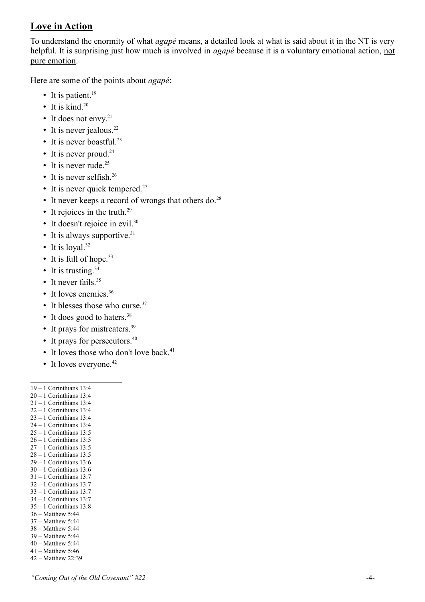## **Love in Action**

To understand the enormity of what *agapé* means, a detailed look at what is said about it in the NT is very helpful. It is surprising just how much is involved in *agapé* because it is a voluntary emotional action, not pure emotion.

Here are some of the points about *agapé*:

- It is patient.<sup>[19](#page-3-0)</sup>
- It is kind.<sup>[20](#page-3-1)</sup>
- It does not envy.<sup>[21](#page-3-2)</sup>
- It is never jealous.<sup>[22](#page-3-3)</sup>
- It is never boastful.<sup>[23](#page-3-4)</sup>
- It is never proud.<sup>[24](#page-3-5)</sup>
- It is never rude.<sup>[25](#page-3-6)</sup>
- It is never selfish.<sup>[26](#page-3-7)</sup>
- It is never quick tempered.<sup>[27](#page-3-8)</sup>
- It never keeps a record of wrongs that others do.<sup>[28](#page-3-9)</sup>
- It rejoices in the truth. $29$
- It doesn't rejoice in evil. $30$
- It is always supportive. $31$
- It is loval. $32$
- It is full of hope. $33$
- It is trusting. $34$
- It never fails. $35$
- It loves enemies.  $36$
- It blesses those who curse. $37$
- It does good to haters.<sup>[38](#page-3-19)</sup>
- It prays for mistreaters.<sup>[39](#page-3-20)</sup>
- It prays for persecutors. $40$
- It loves those who don't love back. $41$
- It loves everyone. $42$
- <span id="page-3-0"></span>19 – 1 Corinthians 13:4
- <span id="page-3-1"></span> $20 - 1$  Corinthians 13:4
- <span id="page-3-2"></span> $21 - 1$  Corinthians 13:4 22 – 1 Corinthians 13:4
- <span id="page-3-4"></span><span id="page-3-3"></span>23 – 1 Corinthians 13:4
- <span id="page-3-5"></span>24 – 1 Corinthians 13:4
- <span id="page-3-6"></span> $25 - 1$  Corinthians 13:5
- <span id="page-3-7"></span> $26 - 1$  Corinthians 13:5 27 – 1 Corinthians 13:5
- <span id="page-3-9"></span><span id="page-3-8"></span>28 – 1 Corinthians 13:5
- <span id="page-3-10"></span> $29 - 1$  Corinthians 13:6
- <span id="page-3-11"></span>30 – 1 Corinthians 13:6
- <span id="page-3-12"></span>31 – 1 Corinthians 13:7  $32 - 1$  Corinthians 13:7
- <span id="page-3-14"></span><span id="page-3-13"></span>33 – 1 Corinthians 13:7
- <span id="page-3-15"></span>34 – 1 Corinthians 13:7
- <span id="page-3-16"></span>35 – 1 Corinthians 13:8
- <span id="page-3-17"></span>36 – Matthew 5:44
- <span id="page-3-18"></span>37 – Matthew 5:44 38 – Matthew 5:44
- <span id="page-3-20"></span><span id="page-3-19"></span>39 – Matthew 5:44
- <span id="page-3-21"></span>40 – Matthew 5:44
- <span id="page-3-22"></span>41 – Matthew 5:46
- <span id="page-3-23"></span>42 – Matthew 22:39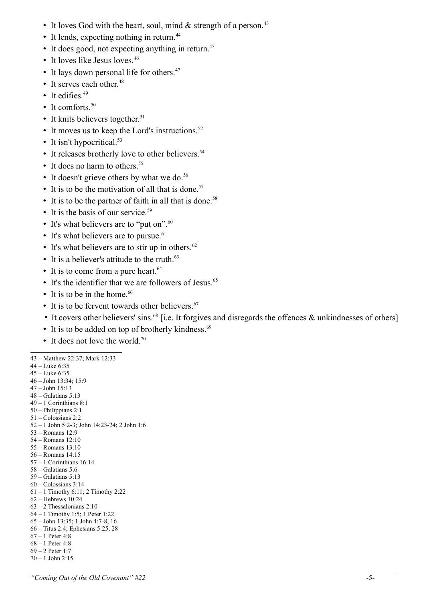- It loves God with the heart, soul, mind  $&$  strength of a person.<sup>[43](#page-4-0)</sup>
- It lends, expecting nothing in return.<sup>[44](#page-4-1)</sup>
- It does good, not expecting anything in return. $45$
- It loves like Jesus loves.<sup>[46](#page-4-3)</sup>
- It lays down personal life for others.<sup>[47](#page-4-4)</sup>
- It serves each other. $48$
- It edifies. $49$
- It comforts  $50$
- It knits believers together.<sup>[51](#page-4-8)</sup>
- It moves us to keep the Lord's instructions.<sup>[52](#page-4-9)</sup>
- It isn't hypocritical. $53$
- It releases brotherly love to other believers.<sup>[54](#page-4-11)</sup>
- It does no harm to others.<sup>[55](#page-4-12)</sup>
- It doesn't grieve others by what we do. $56$
- It is to be the motivation of all that is done.<sup>[57](#page-4-14)</sup>
- It is to be the partner of faith in all that is done.<sup>[58](#page-4-15)</sup>
- It is the basis of our service.<sup>[59](#page-4-16)</sup>
- It's what believers are to "put on".<sup>[60](#page-4-17)</sup>
- It's what believers are to pursue. $61$
- It's what believers are to stir up in others.<sup>[62](#page-4-19)</sup>
- It is a believer's attitude to the truth. $63$
- It is to come from a pure heart. $64$
- It's the identifier that we are followers of Jesus.<sup>[65](#page-4-22)</sup>
- It is to be in the home.<sup>[66](#page-4-23)</sup>
- It is to be fervent towards other believers. $67$
- It covers other believers' sins.<sup>[68](#page-4-25)</sup> [i.e. It forgives and disregards the offences  $\&$  unkindnesses of others]
- It is to be added on top of brotherly kindness. $69$
- It does not love the world  $70$

```
43 – Matthew 22:37; Mark 12:33
```
<span id="page-4-1"></span>44 – Luke 6:35 45 – Luke 6:35

- <span id="page-4-3"></span><span id="page-4-2"></span>46 – John 13:34; 15:9
- <span id="page-4-4"></span>47 – John 15:13
- <span id="page-4-5"></span>48 – Galatians 5:13
- <span id="page-4-6"></span>49 – 1 Corinthians 8:1
- <span id="page-4-7"></span>50 – Philippians 2:1 51 – Colossians 2:2
- <span id="page-4-9"></span><span id="page-4-8"></span>52 – 1 John 5:2-3; John 14:23-24; 2 John 1:6
- <span id="page-4-10"></span>53 – Romans 12:9
- <span id="page-4-11"></span> $54 -$  Romans  $12 \cdot 10$
- <span id="page-4-12"></span>55 – Romans 13:10
- <span id="page-4-13"></span>56 – Romans 14:15 57 – 1 Corinthians 16:14
- <span id="page-4-15"></span><span id="page-4-14"></span>58 – Galatians 5:6
- <span id="page-4-16"></span>59 – Galatians 5:13
- <span id="page-4-17"></span>60 – Colossians 3:14
- <span id="page-4-18"></span>61 – 1 Timothy 6:11; 2 Timothy 2:22
- <span id="page-4-19"></span>62 – Hebrews 10:24
- <span id="page-4-20"></span>63 – 2 Thessalonians 2:10
- <span id="page-4-21"></span>64 – 1 Timothy 1:5; 1 Peter 1:22 65 – John 13:35; 1 John 4:7-8, 16
- <span id="page-4-23"></span><span id="page-4-22"></span>66 – Titus 2:4; Ephesians 5:25, 28
- <span id="page-4-24"></span>67 – 1 Peter 4:8
- <span id="page-4-25"></span>68 – 1 Peter 4:8
- <span id="page-4-26"></span>69 – 2 Peter 1:7
- <span id="page-4-27"></span>70 – 1 John 2:15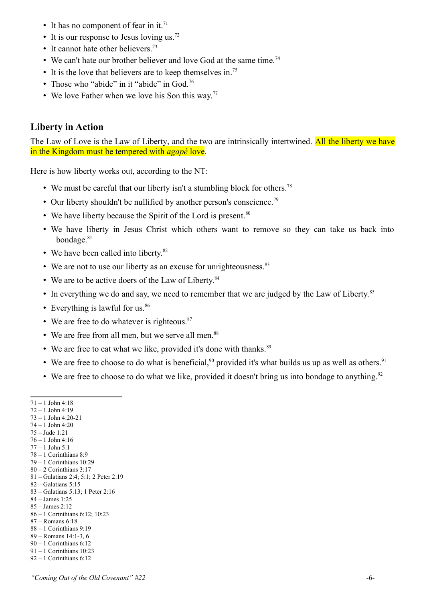- It has no component of fear in it.<sup>[71](#page-5-0)</sup>
- It is our response to Jesus loving us.<sup>[72](#page-5-1)</sup>
- It cannot hate other believers<sup> $73$ </sup>
- We can't hate our brother believer and love God at the same time.<sup>[74](#page-5-3)</sup>
- It is the love that believers are to keep themselves in.<sup>[75](#page-5-4)</sup>
- Those who "abide" in it "abide" in God.<sup>[76](#page-5-5)</sup>
- We love Father when we love his Son this way.<sup>[77](#page-5-6)</sup>

### **Liberty in Action**

The Law of Love is the Law of Liberty, and the two are intrinsically intertwined. All the liberty we have in the Kingdom must be tempered with *agapé* love.

Here is how liberty works out, according to the NT:

- We must be careful that our liberty isn't a stumbling block for others.<sup>[78](#page-5-7)</sup>
- Our liberty shouldn't be nullified by another person's conscience.<sup>[79](#page-5-8)</sup>
- We have liberty because the Spirit of the Lord is present. $80$
- We have liberty in Jesus Christ which others want to remove so they can take us back into bondage.<sup>[81](#page-5-10)</sup>
- We have been called into liberty.<sup>[82](#page-5-11)</sup>
- We are not to use our liberty as an excuse for unrighteousness.<sup>[83](#page-5-12)</sup>
- We are to be active doers of the Law of Liberty.<sup>[84](#page-5-13)</sup>
- In everything we do and say, we need to remember that we are judged by the Law of Liberty.<sup>[85](#page-5-14)</sup>
- Everything is lawful for us. $86$
- We are free to do whatever is righteous. $87$
- We are free from all men, but we serve all men.<sup>[88](#page-5-17)</sup>
- We are free to eat what we like, provided it's done with thanks. $89$
- We are free to choose to do what is beneficial,<sup>[90](#page-5-19)</sup> provided it's what builds us up as well as others.<sup>[91](#page-5-20)</sup>
- We are free to choose to do what we like, provided it doesn't bring us into bondage to anything.<sup>[92](#page-5-21)</sup>

- <span id="page-5-1"></span>72 – 1 John 4:19 73 – 1 John 4:20-21
- <span id="page-5-3"></span><span id="page-5-2"></span>74 – 1 John 4:20
- <span id="page-5-4"></span>75 – Jude 1:21
- <span id="page-5-5"></span>76 – 1 John 4:16
- <span id="page-5-6"></span>77 – 1 John 5:1
- <span id="page-5-7"></span>78 – 1 Corinthians 8:9
- <span id="page-5-8"></span>79 – 1 Corinthians 10:29  $80 - 2$  Corinthians 3:17
- <span id="page-5-10"></span><span id="page-5-9"></span>81 – Galatians 2:4; 5:1; 2 Peter 2:19
- <span id="page-5-11"></span>82 – Galatians 5:15
- <span id="page-5-12"></span>83 – Galatians 5:13; 1 Peter 2:16
- <span id="page-5-13"></span>84 – James 1:25
- <span id="page-5-14"></span>85 – James 2:12
- <span id="page-5-15"></span>86 – 1 Corinthians 6:12; 10:23
- <span id="page-5-16"></span>87 – Romans 6:18
- <span id="page-5-17"></span>88 – 1 Corinthians 9:19 89 – Romans 14:1-3, 6
- <span id="page-5-19"></span><span id="page-5-18"></span>90 – 1 Corinthians 6:12
- <span id="page-5-20"></span>91 – 1 Corinthians 10:23

<span id="page-5-0"></span><sup>71 – 1</sup> John 4:18

<span id="page-5-21"></span><sup>92 – 1</sup> Corinthians 6:12